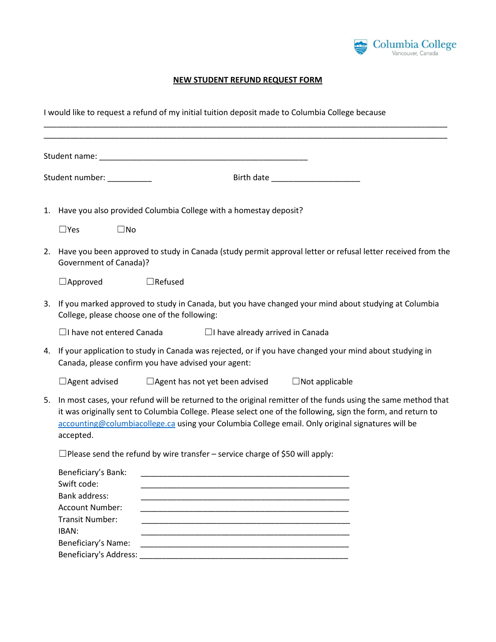

## **NEW STUDENT REFUND REQUEST FORM**

I would like to request a refund of my initial tuition deposit made to Columbia College because \_\_\_\_\_\_\_\_\_\_\_\_\_\_\_\_\_\_\_\_\_\_\_\_\_\_\_\_\_\_\_\_\_\_\_\_\_\_\_\_\_\_\_\_\_\_\_\_\_\_\_\_\_\_\_\_\_\_\_\_\_\_\_\_\_\_\_\_\_\_\_\_\_\_\_\_\_\_\_\_\_\_\_\_\_\_\_\_\_\_\_

|                            |                                                                                                                                                                          | Student name: Note of the Commission of the Commission of the Commission of the Commission of the Commission of the Commission of the Commission of the Commission of the Commission of the Commission of the Commission of th                                                                                                    |
|----------------------------|--------------------------------------------------------------------------------------------------------------------------------------------------------------------------|-----------------------------------------------------------------------------------------------------------------------------------------------------------------------------------------------------------------------------------------------------------------------------------------------------------------------------------|
| Student number: __________ |                                                                                                                                                                          |                                                                                                                                                                                                                                                                                                                                   |
| 1.                         |                                                                                                                                                                          | Have you also provided Columbia College with a homestay deposit?                                                                                                                                                                                                                                                                  |
|                            | $\square$ Yes<br>$\square$ No                                                                                                                                            |                                                                                                                                                                                                                                                                                                                                   |
| 2.                         | <b>Government of Canada)?</b>                                                                                                                                            | Have you been approved to study in Canada (study permit approval letter or refusal letter received from the                                                                                                                                                                                                                       |
|                            | $\Box$ Approved                                                                                                                                                          | $\Box$ Refused                                                                                                                                                                                                                                                                                                                    |
| 3.                         | College, please choose one of the following:                                                                                                                             | If you marked approved to study in Canada, but you have changed your mind about studying at Columbia                                                                                                                                                                                                                              |
|                            | $\Box$ I have not entered Canada                                                                                                                                         | $\Box$ I have already arrived in Canada                                                                                                                                                                                                                                                                                           |
| 4.                         |                                                                                                                                                                          | If your application to study in Canada was rejected, or if you have changed your mind about studying in<br>Canada, please confirm you have advised your agent:                                                                                                                                                                    |
|                            | $\Box$ Agent advised                                                                                                                                                     | $\Box$ Agent has not yet been advised<br>$\Box$ Not applicable                                                                                                                                                                                                                                                                    |
| 5.                         | accepted.                                                                                                                                                                | In most cases, your refund will be returned to the original remitter of the funds using the same method that<br>it was originally sent to Columbia College. Please select one of the following, sign the form, and return to<br>accounting@columbiacollege.ca using your Columbia College email. Only original signatures will be |
|                            |                                                                                                                                                                          | $\Box$ Please send the refund by wire transfer – service charge of \$50 will apply:                                                                                                                                                                                                                                               |
|                            | Beneficiary's Bank:<br>Swift code:<br>Bank address:<br><b>Account Number:</b><br><b>Transit Number:</b><br>IBAN:<br>Beneficiary's Name:<br><b>Beneficiary's Address:</b> | <u> 1989 - Johann Stoff, amerikansk politiker (d. 1989)</u><br><u> 1989 - Johann John Stoff, deutscher Stoffen und der Stoffen und der Stoffen und der Stoffen und der Stoffen</u>                                                                                                                                                |